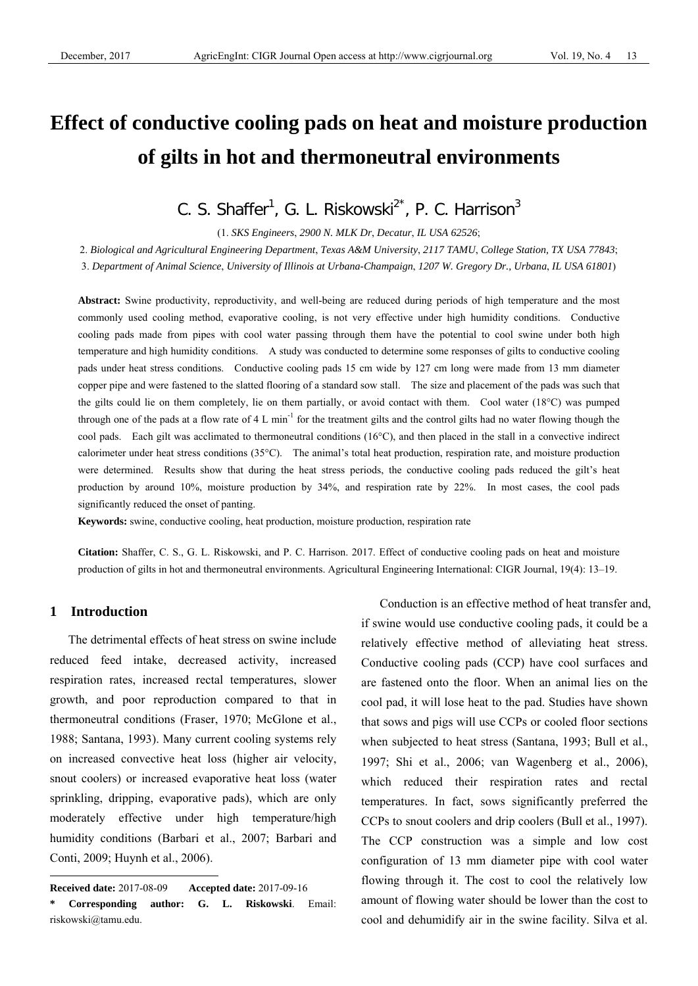# **Effect of conductive cooling pads on heat and moisture production of gilts in hot and thermoneutral environments**

C. S. Shaffer<sup>1</sup>, G. L. Riskowski<sup>2\*</sup>, P. C. Harrison<sup>3</sup>

(1. *SKS Engineers*, *2900 N. MLK Dr*, *Decatur*, *IL USA 62526*;

2. *Biological and Agricultural Engineering Department*, *Texas A&M University*, *2117 TAMU*, *College Station, TX USA 77843*;

3. *Department of Animal Science*, *University of Illinois at Urbana-Champaign*, *1207 W. Gregory Dr., Urbana*, *IL USA 61801*)

**Abstract:** Swine productivity, reproductivity, and well-being are reduced during periods of high temperature and the most commonly used cooling method, evaporative cooling, is not very effective under high humidity conditions. Conductive cooling pads made from pipes with cool water passing through them have the potential to cool swine under both high temperature and high humidity conditions. A study was conducted to determine some responses of gilts to conductive cooling pads under heat stress conditions. Conductive cooling pads 15 cm wide by 127 cm long were made from 13 mm diameter copper pipe and were fastened to the slatted flooring of a standard sow stall. The size and placement of the pads was such that the gilts could lie on them completely, lie on them partially, or avoid contact with them. Cool water (18°C) was pumped through one of the pads at a flow rate of 4 L min<sup>-1</sup> for the treatment gilts and the control gilts had no water flowing though the cool pads. Each gilt was acclimated to thermoneutral conditions (16°C), and then placed in the stall in a convective indirect calorimeter under heat stress conditions (35°C). The animal's total heat production, respiration rate, and moisture production were determined. Results show that during the heat stress periods, the conductive cooling pads reduced the gilt's heat production by around 10%, moisture production by 34%, and respiration rate by 22%. In most cases, the cool pads significantly reduced the onset of panting.

**Keywords:** swine, conductive cooling, heat production, moisture production, respiration rate

**Citation:** Shaffer, C. S., G. L. Riskowski, and P. C. Harrison. 2017. Effect of conductive cooling pads on heat and moisture production of gilts in hot and thermoneutral environments. Agricultural Engineering International: CIGR Journal, 19(4): 13–19.

## **1 Introduction**

 $\overline{a}$ 

The detrimental effects of heat stress on swine include reduced feed intake, decreased activity, increased respiration rates, increased rectal temperatures, slower growth, and poor reproduction compared to that in thermoneutral conditions (Fraser, 1970; McGlone et al., 1988; Santana, 1993). Many current cooling systems rely on increased convective heat loss (higher air velocity, snout coolers) or increased evaporative heat loss (water sprinkling, dripping, evaporative pads), which are only moderately effective under high temperature/high humidity conditions (Barbari et al., 2007; Barbari and Conti, 2009; Huynh et al., 2006).

Conduction is an effective method of heat transfer and, if swine would use conductive cooling pads, it could be a relatively effective method of alleviating heat stress. Conductive cooling pads (CCP) have cool surfaces and are fastened onto the floor. When an animal lies on the cool pad, it will lose heat to the pad. Studies have shown that sows and pigs will use CCPs or cooled floor sections when subjected to heat stress (Santana, 1993; Bull et al., 1997; Shi et al., 2006; van Wagenberg et al., 2006), which reduced their respiration rates and rectal temperatures. In fact, sows significantly preferred the CCPs to snout coolers and drip coolers (Bull et al., 1997). The CCP construction was a simple and low cost configuration of 13 mm diameter pipe with cool water flowing through it. The cost to cool the relatively low amount of flowing water should be lower than the cost to cool and dehumidify air in the swine facility. Silva et al.

**Received date:** 2017-08-09 **Accepted date:** 2017-09-16 **\* Corresponding author: G. L. Riskowski**. Email: riskowski@tamu.edu.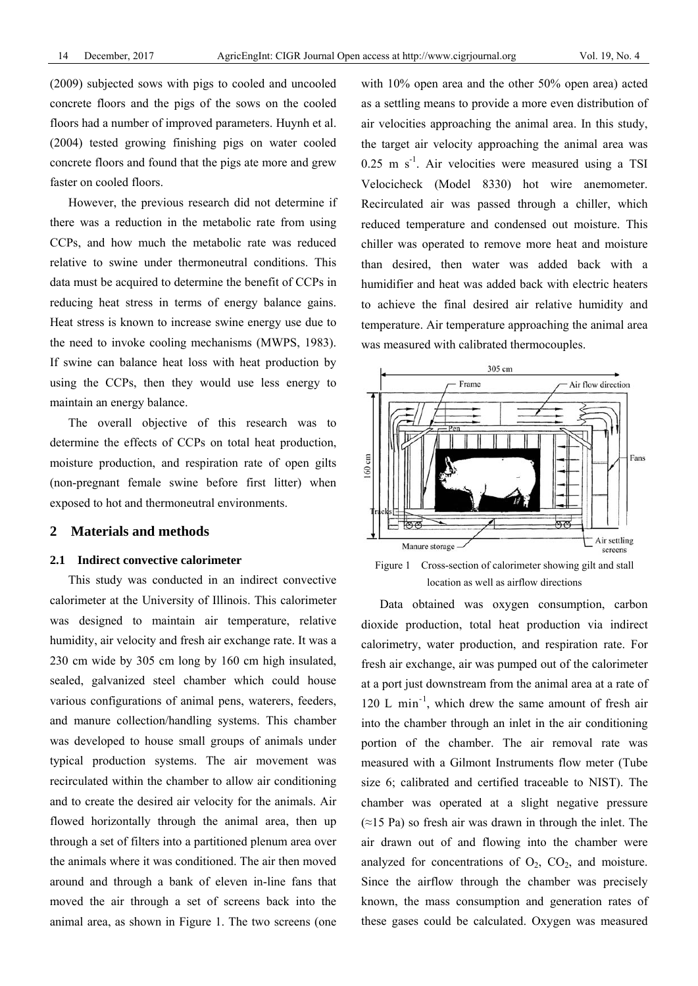(2009) subjected sows with pigs to cooled and uncooled concrete floors and the pigs of the sows on the cooled floors had a number of improved parameters. Huynh et al. (2004) tested growing finishing pigs on water cooled concrete floors and found that the pigs ate more and grew faster on cooled floors.

However, the previous research did not determine if there was a reduction in the metabolic rate from using CCPs, and how much the metabolic rate was reduced relative to swine under thermoneutral conditions. This data must be acquired to determine the benefit of CCPs in reducing heat stress in terms of energy balance gains. Heat stress is known to increase swine energy use due to the need to invoke cooling mechanisms (MWPS, 1983). If swine can balance heat loss with heat production by using the CCPs, then they would use less energy to maintain an energy balance.

The overall objective of this research was to determine the effects of CCPs on total heat production, moisture production, and respiration rate of open gilts (non-pregnant female swine before first litter) when exposed to hot and thermoneutral environments.

## **2 Materials and methods**

## **2.1 Indirect convective calorimeter**

This study was conducted in an indirect convective calorimeter at the University of Illinois. This calorimeter was designed to maintain air temperature, relative humidity, air velocity and fresh air exchange rate. It was a 230 cm wide by 305 cm long by 160 cm high insulated, sealed, galvanized steel chamber which could house various configurations of animal pens, waterers, feeders, and manure collection/handling systems. This chamber was developed to house small groups of animals under typical production systems. The air movement was recirculated within the chamber to allow air conditioning and to create the desired air velocity for the animals. Air flowed horizontally through the animal area, then up through a set of filters into a partitioned plenum area over the animals where it was conditioned. The air then moved around and through a bank of eleven in-line fans that moved the air through a set of screens back into the animal area, as shown in Figure 1. The two screens (one

with 10% open area and the other 50% open area) acted as a settling means to provide a more even distribution of air velocities approaching the animal area. In this study, the target air velocity approaching the animal area was  $0.25$  m s<sup>-1</sup>. Air velocities were measured using a TSI Velocicheck (Model 8330) hot wire anemometer. Recirculated air was passed through a chiller, which reduced temperature and condensed out moisture. This chiller was operated to remove more heat and moisture than desired, then water was added back with a humidifier and heat was added back with electric heaters to achieve the final desired air relative humidity and temperature. Air temperature approaching the animal area was measured with calibrated thermocouples.



Figure 1 Cross-section of calorimeter showing gilt and stall location as well as airflow directions

Data obtained was oxygen consumption, carbon dioxide production, total heat production via indirect calorimetry, water production, and respiration rate. For fresh air exchange, air was pumped out of the calorimeter at a port just downstream from the animal area at a rate of  $120$  L min<sup>-1</sup>, which drew the same amount of fresh air into the chamber through an inlet in the air conditioning portion of the chamber. The air removal rate was measured with a Gilmont Instruments flow meter (Tube size 6; calibrated and certified traceable to NIST). The chamber was operated at a slight negative pressure  $(\approx 15 \text{ Pa})$  so fresh air was drawn in through the inlet. The air drawn out of and flowing into the chamber were analyzed for concentrations of  $O_2$ ,  $CO_2$ , and moisture. Since the airflow through the chamber was precisely known, the mass consumption and generation rates of these gases could be calculated. Oxygen was measured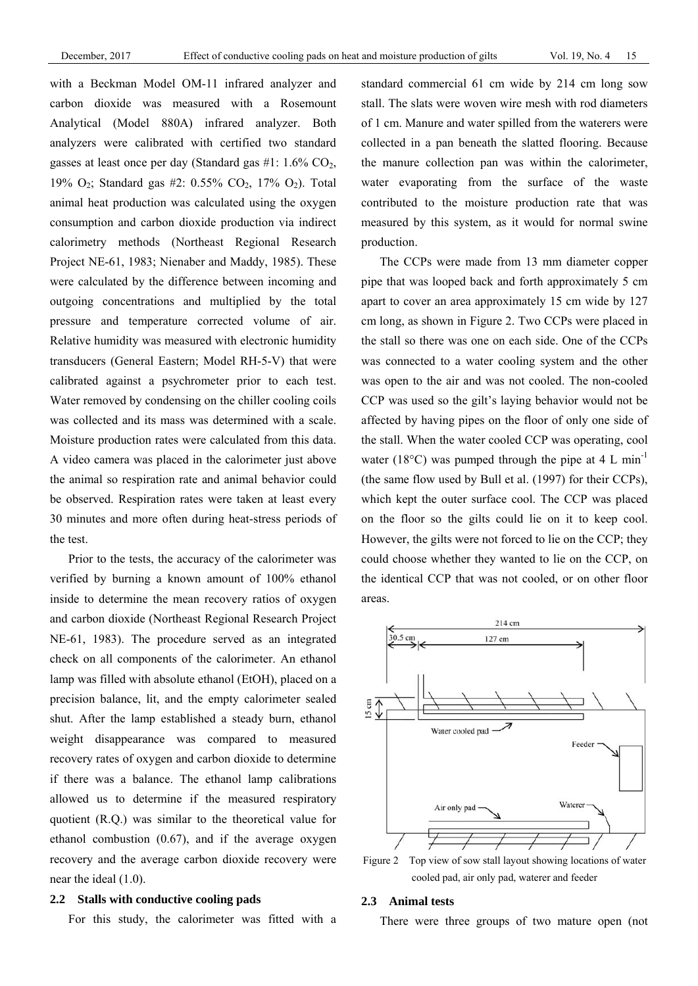with a Beckman Model OM-11 infrared analyzer and carbon dioxide was measured with a Rosemount Analytical (Model 880A) infrared analyzer. Both analyzers were calibrated with certified two standard gasses at least once per day (Standard gas #1:  $1.6\%$  CO<sub>2</sub>, 19% O<sub>2</sub>; Standard gas #2: 0.55% CO<sub>2</sub>, 17% O<sub>2</sub>). Total animal heat production was calculated using the oxygen consumption and carbon dioxide production via indirect calorimetry methods (Northeast Regional Research Project NE-61, 1983; Nienaber and Maddy, 1985). These were calculated by the difference between incoming and outgoing concentrations and multiplied by the total pressure and temperature corrected volume of air. Relative humidity was measured with electronic humidity transducers (General Eastern; Model RH-5-V) that were calibrated against a psychrometer prior to each test. Water removed by condensing on the chiller cooling coils was collected and its mass was determined with a scale. Moisture production rates were calculated from this data. A video camera was placed in the calorimeter just above the animal so respiration rate and animal behavior could be observed. Respiration rates were taken at least every 30 minutes and more often during heat-stress periods of the test.

Prior to the tests, the accuracy of the calorimeter was verified by burning a known amount of 100% ethanol inside to determine the mean recovery ratios of oxygen and carbon dioxide (Northeast Regional Research Project NE-61, 1983). The procedure served as an integrated check on all components of the calorimeter. An ethanol lamp was filled with absolute ethanol (EtOH), placed on a precision balance, lit, and the empty calorimeter sealed shut. After the lamp established a steady burn, ethanol weight disappearance was compared to measured recovery rates of oxygen and carbon dioxide to determine if there was a balance. The ethanol lamp calibrations allowed us to determine if the measured respiratory quotient (R.Q.) was similar to the theoretical value for ethanol combustion (0.67), and if the average oxygen recovery and the average carbon dioxide recovery were near the ideal (1.0).

#### **2.2 Stalls with conductive cooling pads**

For this study, the calorimeter was fitted with a

standard commercial 61 cm wide by 214 cm long sow stall. The slats were woven wire mesh with rod diameters of 1 cm. Manure and water spilled from the waterers were collected in a pan beneath the slatted flooring. Because the manure collection pan was within the calorimeter, water evaporating from the surface of the waste contributed to the moisture production rate that was measured by this system, as it would for normal swine production.

The CCPs were made from 13 mm diameter copper pipe that was looped back and forth approximately 5 cm apart to cover an area approximately 15 cm wide by 127 cm long, as shown in Figure 2. Two CCPs were placed in the stall so there was one on each side. One of the CCPs was connected to a water cooling system and the other was open to the air and was not cooled. The non-cooled CCP was used so the gilt's laying behavior would not be affected by having pipes on the floor of only one side of the stall. When the water cooled CCP was operating, cool water (18 $^{\circ}$ C) was pumped through the pipe at 4 L min<sup>-1</sup> (the same flow used by Bull et al. (1997) for their CCPs), which kept the outer surface cool. The CCP was placed on the floor so the gilts could lie on it to keep cool. However, the gilts were not forced to lie on the CCP; they could choose whether they wanted to lie on the CCP, on the identical CCP that was not cooled, or on other floor areas.



Figure 2 Top view of sow stall layout showing locations of water cooled pad, air only pad, waterer and feeder

#### **2.3 Animal tests**

There were three groups of two mature open (not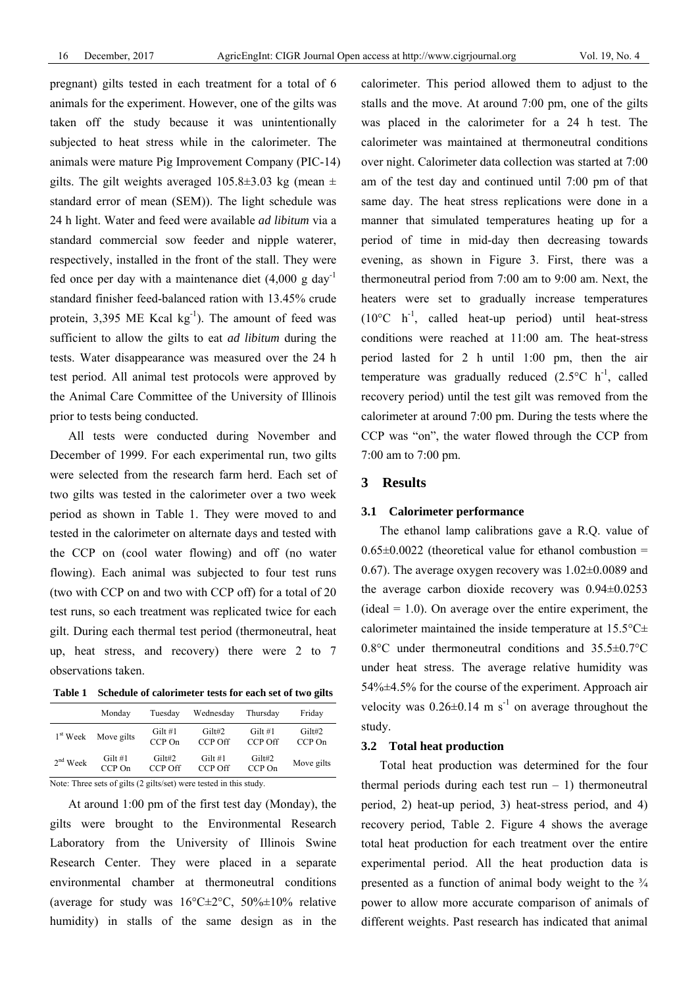pregnant) gilts tested in each treatment for a total of 6 animals for the experiment. However, one of the gilts was taken off the study because it was unintentionally subjected to heat stress while in the calorimeter. The animals were mature Pig Improvement Company (PIC-14) gilts. The gilt weights averaged  $105.8\pm3.03$  kg (mean  $\pm$ standard error of mean (SEM)). The light schedule was 24 h light. Water and feed were available *ad libitum* via a standard commercial sow feeder and nipple waterer, respectively, installed in the front of the stall. They were fed once per day with a maintenance diet  $(4,000 \text{ g day}^{-1})$ standard finisher feed-balanced ration with 13.45% crude protein,  $3.395$  ME Kcal kg<sup>-1</sup>). The amount of feed was sufficient to allow the gilts to eat *ad libitum* during the tests. Water disappearance was measured over the 24 h test period. All animal test protocols were approved by the Animal Care Committee of the University of Illinois prior to tests being conducted.

All tests were conducted during November and December of 1999. For each experimental run, two gilts were selected from the research farm herd. Each set of two gilts was tested in the calorimeter over a two week period as shown in Table 1. They were moved to and tested in the calorimeter on alternate days and tested with the CCP on (cool water flowing) and off (no water flowing). Each animal was subjected to four test runs (two with CCP on and two with CCP off) for a total of 20 test runs, so each treatment was replicated twice for each gilt. During each thermal test period (thermoneutral, heat up, heat stress, and recovery) there were 2 to 7 observations taken.

**Table 1 Schedule of calorimeter tests for each set of two gilts** 

|            | Monday             | Tuesday               | Wednesday            | Thursday             | Friday           |
|------------|--------------------|-----------------------|----------------------|----------------------|------------------|
| $1st$ Week | Move gilts         | Gilt $#1$<br>$CCP$ On | Gilt#2<br>CCP Off    | Gilt $#1$<br>CCP Off | Gilt#2<br>CCP On |
| $2nd$ Week | Gilt#1<br>$CCP$ On | Gilt#2<br>CCP Off     | Gilt $#1$<br>CCP Off | Gilt#2<br>CCP On     | Move gilts       |

Note: Three sets of gilts (2 gilts/set) were tested in this study.

At around 1:00 pm of the first test day (Monday), the gilts were brought to the Environmental Research Laboratory from the University of Illinois Swine Research Center. They were placed in a separate environmental chamber at thermoneutral conditions (average for study was  $16^{\circ}$ C $\pm$ 2°C, 50% $\pm$ 10% relative humidity) in stalls of the same design as in the

calorimeter. This period allowed them to adjust to the stalls and the move. At around 7:00 pm, one of the gilts was placed in the calorimeter for a 24 h test. The calorimeter was maintained at thermoneutral conditions over night. Calorimeter data collection was started at 7:00 am of the test day and continued until 7:00 pm of that same day. The heat stress replications were done in a manner that simulated temperatures heating up for a period of time in mid-day then decreasing towards evening, as shown in Figure 3. First, there was a thermoneutral period from 7:00 am to 9:00 am. Next, the heaters were set to gradually increase temperatures  $(10^{\circ}C \text{ h}^{-1}$ , called heat-up period) until heat-stress conditions were reached at 11:00 am. The heat-stress period lasted for 2 h until 1:00 pm, then the air temperature was gradually reduced  $(2.5^{\circ}C \; h^{-1})$ , called recovery period) until the test gilt was removed from the calorimeter at around 7:00 pm. During the tests where the CCP was "on", the water flowed through the CCP from 7:00 am to 7:00 pm.

#### **3 Results**

#### **3.1 Calorimeter performance**

The ethanol lamp calibrations gave a R.Q. value of  $0.65\pm0.0022$  (theoretical value for ethanol combustion = 0.67). The average oxygen recovery was 1.02±0.0089 and the average carbon dioxide recovery was 0.94±0.0253  $(ideal = 1.0)$ . On average over the entire experiment, the calorimeter maintained the inside temperature at  $15.5^{\circ}$ C $\pm$ 0.8°C under thermoneutral conditions and 35.5±0.7°C under heat stress. The average relative humidity was 54%±4.5% for the course of the experiment. Approach air velocity was  $0.26\pm0.14$  m s<sup>-1</sup> on average throughout the study.

#### **3.2 Total heat production**

Total heat production was determined for the four thermal periods during each test run  $-1$ ) thermoneutral period, 2) heat-up period, 3) heat-stress period, and 4) recovery period, Table 2. Figure 4 shows the average total heat production for each treatment over the entire experimental period. All the heat production data is presented as a function of animal body weight to the  $\frac{3}{4}$ power to allow more accurate comparison of animals of different weights. Past research has indicated that animal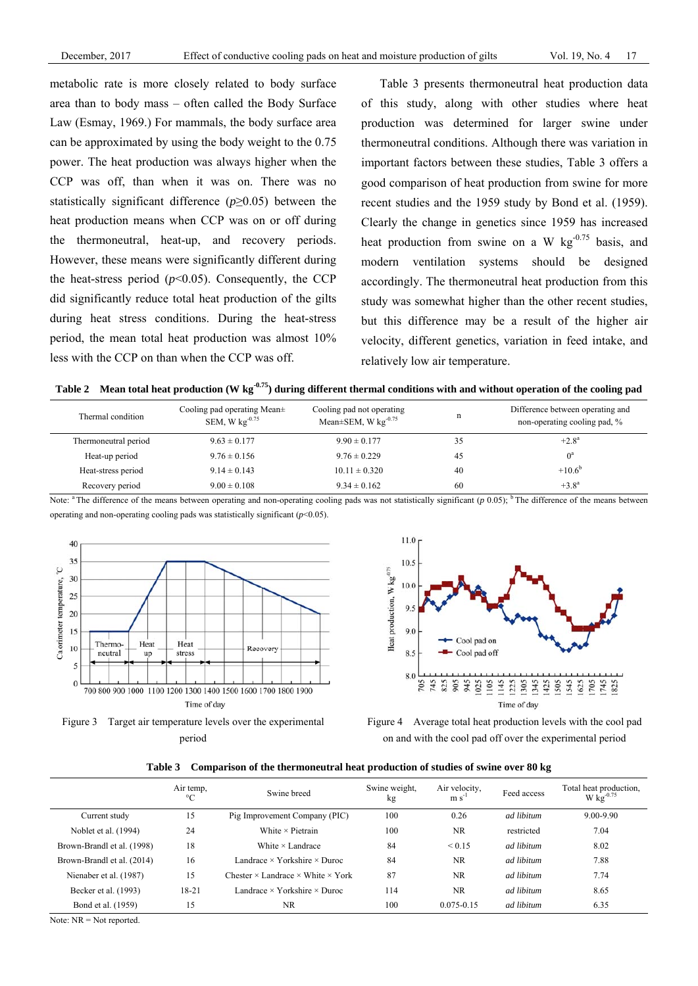metabolic rate is more closely related to body surface area than to body mass – often called the Body Surface Law (Esmay, 1969.) For mammals, the body surface area can be approximated by using the body weight to the 0.75 power. The heat production was always higher when the CCP was off, than when it was on. There was no statistically significant difference (*p*≥0.05) between the heat production means when CCP was on or off during the thermoneutral, heat-up, and recovery periods. However, these means were significantly different during the heat-stress period  $(p<0.05)$ . Consequently, the CCP did significantly reduce total heat production of the gilts during heat stress conditions. During the heat-stress period, the mean total heat production was almost 10% less with the CCP on than when the CCP was off.

Table 3 presents thermoneutral heat production data of this study, along with other studies where heat production was determined for larger swine under thermoneutral conditions. Although there was variation in important factors between these studies, Table 3 offers a good comparison of heat production from swine for more recent studies and the 1959 study by Bond et al. (1959). Clearly the change in genetics since 1959 has increased heat production from swine on a W  $kg^{-0.75}$  basis, and modern ventilation systems should be designed accordingly. The thermoneutral heat production from this study was somewhat higher than the other recent studies, but this difference may be a result of the higher air velocity, different genetics, variation in feed intake, and relatively low air temperature.

**Table 2 Mean total heat production (W kg-0.75) during different thermal conditions with and without operation of the cooling pad** 

| Thermal condition    | Cooling pad operating Mean $\pm$<br>SEM, W $kg^{-0.75}$ | Cooling pad not operating<br>Mean $\pm$ SEM, W kg <sup>-0.75</sup> | n  | Difference between operating and<br>non-operating cooling pad, % |
|----------------------|---------------------------------------------------------|--------------------------------------------------------------------|----|------------------------------------------------------------------|
| Thermoneutral period | $9.63 \pm 0.177$                                        | $9.90 \pm 0.177$                                                   |    | $+2.8^{\rm a}$                                                   |
| Heat-up period       | $9.76 \pm 0.156$                                        | $9.76 \pm 0.229$                                                   | 45 |                                                                  |
| Heat-stress period   | $9.14 \pm 0.143$                                        | $10.11 \pm 0.320$                                                  | 40 | $+10.6^{b}$                                                      |
| Recovery period      | $9.00 \pm 0.108$                                        | $9.34 \pm 0.162$                                                   | 60 | $+3.8^{\rm a}$                                                   |

Note: <sup>a</sup> The difference of the means between operating and non-operating cooling pads was not statistically significant ( $p$  0.05); <sup>b</sup> The difference of the means between operating and non-operating cooling pads was statistically significant (*p*<0.05).



period



Figure 4 Average total heat production levels with the cool pad on and with the cool pad off over the experimental period

|  | Table 3 Comparison of the thermoneutral heat production of studies of swine over 80 kg |
|--|----------------------------------------------------------------------------------------|
|  |                                                                                        |

|                            | Air temp,<br>$\rm ^{\circ}C$ | Swine breed                                            | Swine weight.<br>kg | Air velocity,<br>$m s^{-1}$ | Feed access | Total heat production,<br>$W \hat{\mathrm{kg}}^{-0.75}$ |
|----------------------------|------------------------------|--------------------------------------------------------|---------------------|-----------------------------|-------------|---------------------------------------------------------|
| Current study              | 15                           | Pig Improvement Company (PIC)                          | 100                 | 0.26                        | ad libitum  | $9.00 - 9.90$                                           |
| Noblet et al. (1994)       | 24                           | White $\times$ Pietrain                                | 100                 | <b>NR</b>                   | restricted  | 7.04                                                    |
| Brown-Brandl et al. (1998) | 18                           | White $\times$ Landrace                                | 84                  | < 0.15                      | ad libitum  | 8.02                                                    |
| Brown-Brandl et al. (2014) | 16                           | Landrace $\times$ Yorkshire $\times$ Duroc             | 84                  | <b>NR</b>                   | ad libitum  | 7.88                                                    |
| Nienaber et al. (1987)     | 15                           | Chester $\times$ Landrace $\times$ White $\times$ York | 87                  | <b>NR</b>                   | ad libitum  | 7.74                                                    |
| Becker et al. (1993)       | 18-21                        | Landrace $\times$ Yorkshire $\times$ Duroc             | 114                 | <b>NR</b>                   | ad libitum  | 8.65                                                    |
| Bond et al. (1959)         | 15                           | NR                                                     | 100                 | $0.075 - 0.15$              | ad libitum  | 6.35                                                    |

Note: NR = Not reported.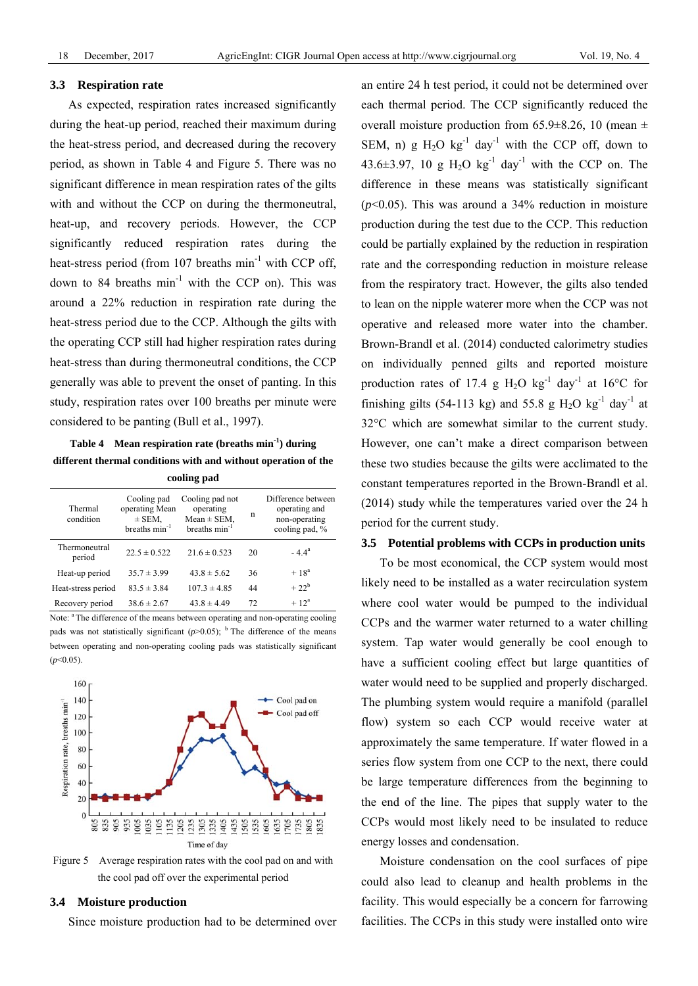## **3.3 Respiration rate**

As expected, respiration rates increased significantly during the heat-up period, reached their maximum during the heat-stress period, and decreased during the recovery period, as shown in Table 4 and Figure 5. There was no significant difference in mean respiration rates of the gilts with and without the CCP on during the thermoneutral, heat-up, and recovery periods. However, the CCP significantly reduced respiration rates during the heat-stress period (from 107 breaths  $min^{-1}$  with CCP off, down to 84 breaths  $min^{-1}$  with the CCP on). This was around a 22% reduction in respiration rate during the heat-stress period due to the CCP. Although the gilts with the operating CCP still had higher respiration rates during heat-stress than during thermoneutral conditions, the CCP generally was able to prevent the onset of panting. In this study, respiration rates over 100 breaths per minute were considered to be panting (Bull et al., 1997).

**Table 4 Mean respiration rate (breaths min-1) during different thermal conditions with and without operation of the cooling pad** 

| Thermal<br>condition    | Cooling pad<br>operating Mean<br>$\pm$ SEM,<br>breaths $min^{-1}$ | Cooling pad not<br>operating<br>$Mean \pm SEM$ ,<br>breaths $min^{-1}$ | n  | Difference between<br>operating and<br>non-operating<br>cooling pad, % |
|-------------------------|-------------------------------------------------------------------|------------------------------------------------------------------------|----|------------------------------------------------------------------------|
| Thermoneutral<br>period | $22.5 \pm 0.522$                                                  | $21.6 \pm 0.523$                                                       | 20 | $-4.4^a$                                                               |
| Heat-up period          | $35.7 \pm 3.99$                                                   | $43.8 \pm 5.62$                                                        | 36 | $+18^{\rm a}$                                                          |
| Heat-stress period      | $83.5 \pm 3.84$                                                   | $107.3 \pm 4.85$                                                       | 44 | $+22^b$                                                                |
| Recovery period         | $38.6 \pm 2.67$                                                   | $43.8 \pm 4.49$                                                        | 72 | $+12^a$                                                                |

Note: <sup>a</sup> The difference of the means between operating and non-operating cooling pads was not statistically significant  $(p>0.05)$ ; <sup>b</sup> The difference of the means between operating and non-operating cooling pads was statistically significant  $(p<0.05)$ .



Figure 5 Average respiration rates with the cool pad on and with the cool pad off over the experimental period

## **3.4 Moisture production**

Since moisture production had to be determined over

an entire 24 h test period, it could not be determined over each thermal period. The CCP significantly reduced the overall moisture production from  $65.9\pm8.26$ , 10 (mean  $\pm$ SEM, n) g  $H_2O$  kg<sup>-1</sup> day<sup>-1</sup> with the CCP off, down to 43.6 $\pm$ 3.97, 10 g H<sub>2</sub>O kg<sup>-1</sup> day<sup>-1</sup> with the CCP on. The difference in these means was statistically significant  $(p<0.05)$ . This was around a 34% reduction in moisture production during the test due to the CCP. This reduction could be partially explained by the reduction in respiration rate and the corresponding reduction in moisture release from the respiratory tract. However, the gilts also tended to lean on the nipple waterer more when the CCP was not operative and released more water into the chamber. Brown-Brandl et al. (2014) conducted calorimetry studies on individually penned gilts and reported moisture production rates of 17.4 g H<sub>2</sub>O kg<sup>-1</sup> day<sup>-1</sup> at 16<sup>o</sup>C for finishing gilts (54-113 kg) and 55.8 g  $H_2O$  kg<sup>-1</sup> day<sup>-1</sup> at 32°C which are somewhat similar to the current study. However, one can't make a direct comparison between these two studies because the gilts were acclimated to the constant temperatures reported in the Brown-Brandl et al. (2014) study while the temperatures varied over the 24 h period for the current study.

#### **3.5 Potential problems with CCPs in production units**

To be most economical, the CCP system would most likely need to be installed as a water recirculation system where cool water would be pumped to the individual CCPs and the warmer water returned to a water chilling system. Tap water would generally be cool enough to have a sufficient cooling effect but large quantities of water would need to be supplied and properly discharged. The plumbing system would require a manifold (parallel flow) system so each CCP would receive water at approximately the same temperature. If water flowed in a series flow system from one CCP to the next, there could be large temperature differences from the beginning to the end of the line. The pipes that supply water to the CCPs would most likely need to be insulated to reduce energy losses and condensation.

Moisture condensation on the cool surfaces of pipe could also lead to cleanup and health problems in the facility. This would especially be a concern for farrowing facilities. The CCPs in this study were installed onto wire